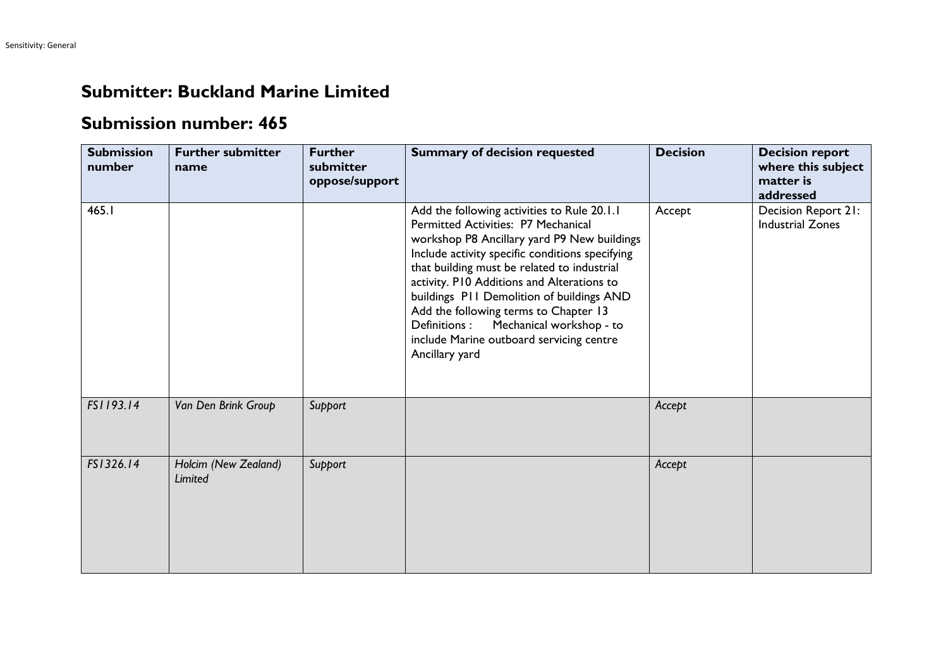## **Submitter: Buckland Marine Limited**

## **Submission number: 465**

| <b>Submission</b><br>number | <b>Further submitter</b><br>name | <b>Further</b><br>submitter<br>oppose/support | <b>Summary of decision requested</b>                                                                                                                                                                                                                                                                                                                                                                                                                                               | <b>Decision</b> | <b>Decision report</b><br>where this subject<br>matter is<br>addressed |
|-----------------------------|----------------------------------|-----------------------------------------------|------------------------------------------------------------------------------------------------------------------------------------------------------------------------------------------------------------------------------------------------------------------------------------------------------------------------------------------------------------------------------------------------------------------------------------------------------------------------------------|-----------------|------------------------------------------------------------------------|
| 465.I                       |                                  |                                               | Add the following activities to Rule 20.1.1<br>Permitted Activities: P7 Mechanical<br>workshop P8 Ancillary yard P9 New buildings<br>Include activity specific conditions specifying<br>that building must be related to industrial<br>activity. P10 Additions and Alterations to<br>buildings PII Demolition of buildings AND<br>Add the following terms to Chapter 13<br>Mechanical workshop - to<br>Definitions :<br>include Marine outboard servicing centre<br>Ancillary yard | Accept          | Decision Report 21:<br><b>Industrial Zones</b>                         |
| FS1193.14                   | Van Den Brink Group              | Support                                       |                                                                                                                                                                                                                                                                                                                                                                                                                                                                                    | Accept          |                                                                        |
| FS1326.14                   | Holcim (New Zealand)<br>Limited  | Support                                       |                                                                                                                                                                                                                                                                                                                                                                                                                                                                                    | Accept          |                                                                        |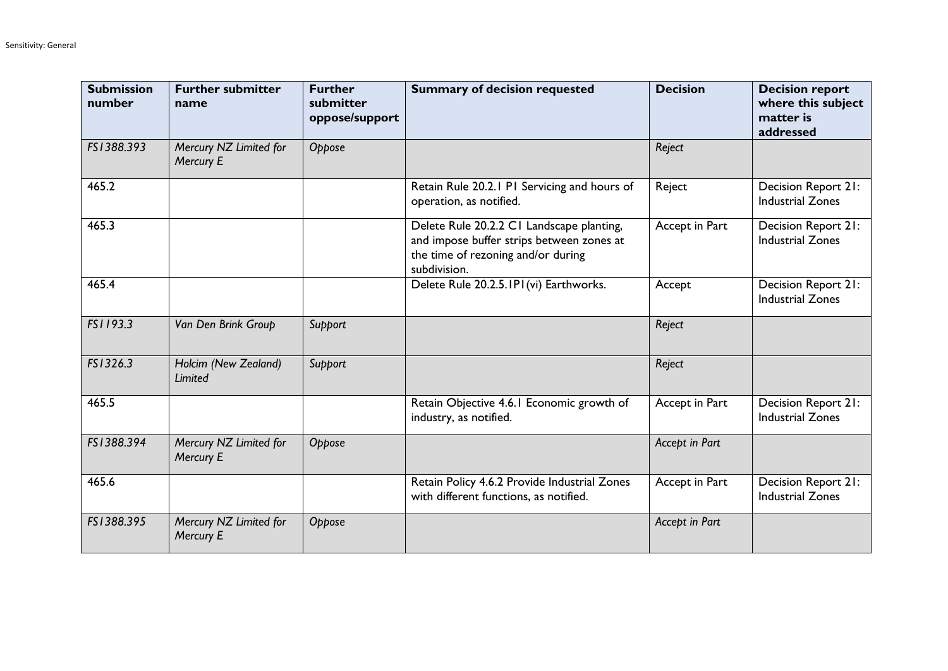| <b>Submission</b><br>number | <b>Further submitter</b><br>name    | <b>Further</b><br>submitter<br>oppose/support | <b>Summary of decision requested</b>                                                                                                         | <b>Decision</b> | <b>Decision report</b><br>where this subject<br>matter is<br>addressed |
|-----------------------------|-------------------------------------|-----------------------------------------------|----------------------------------------------------------------------------------------------------------------------------------------------|-----------------|------------------------------------------------------------------------|
| FS1388.393                  | Mercury NZ Limited for<br>Mercury E | Oppose                                        |                                                                                                                                              | Reject          |                                                                        |
| 465.2                       |                                     |                                               | Retain Rule 20.2.1 PI Servicing and hours of<br>operation, as notified.                                                                      | Reject          | Decision Report 21:<br><b>Industrial Zones</b>                         |
| 465.3                       |                                     |                                               | Delete Rule 20.2.2 CI Landscape planting,<br>and impose buffer strips between zones at<br>the time of rezoning and/or during<br>subdivision. | Accept in Part  | Decision Report 21:<br><b>Industrial Zones</b>                         |
| 465.4                       |                                     |                                               | Delete Rule 20.2.5.1P1(vi) Earthworks.                                                                                                       | Accept          | Decision Report 21:<br><b>Industrial Zones</b>                         |
| FS1193.3                    | Van Den Brink Group                 | Support                                       |                                                                                                                                              | Reject          |                                                                        |
| FS1326.3                    | Holcim (New Zealand)<br>Limited     | Support                                       |                                                                                                                                              | Reject          |                                                                        |
| 465.5                       |                                     |                                               | Retain Objective 4.6.1 Economic growth of<br>industry, as notified.                                                                          | Accept in Part  | Decision Report 21:<br><b>Industrial Zones</b>                         |
| FS1388.394                  | Mercury NZ Limited for<br>Mercury E | Oppose                                        |                                                                                                                                              | Accept in Part  |                                                                        |
| 465.6                       |                                     |                                               | Retain Policy 4.6.2 Provide Industrial Zones<br>with different functions, as notified.                                                       | Accept in Part  | <b>Decision Report 21:</b><br><b>Industrial Zones</b>                  |
| FS1388.395                  | Mercury NZ Limited for<br>Mercury E | Oppose                                        |                                                                                                                                              | Accept in Part  |                                                                        |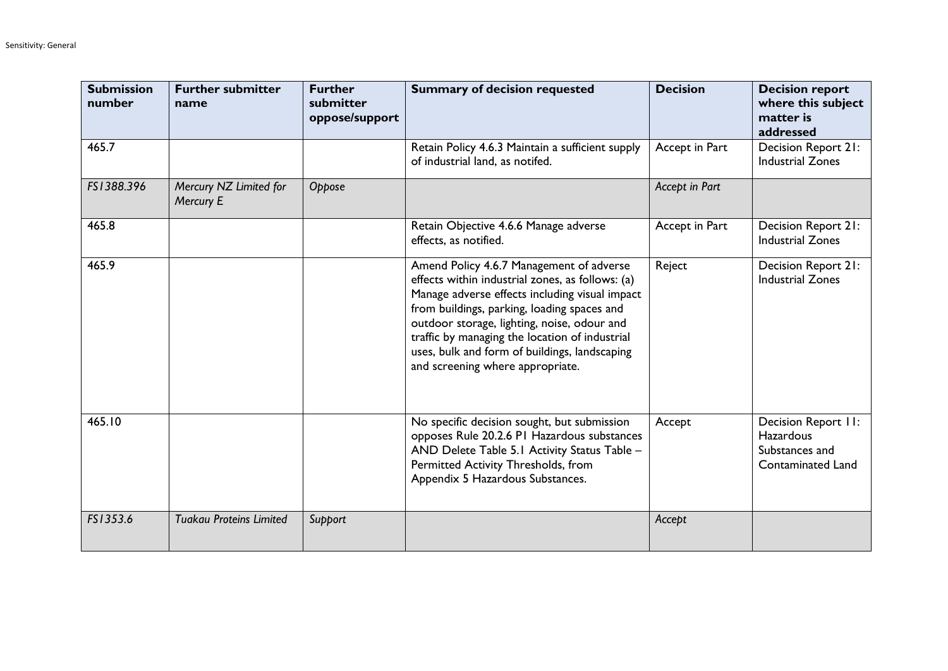| <b>Submission</b><br>number | <b>Further submitter</b><br>name    | <b>Further</b><br>submitter<br>oppose/support | <b>Summary of decision requested</b>                                                                                                                                                                                                                                                                                                                                                | <b>Decision</b> | <b>Decision report</b><br>where this subject<br>matter is<br>addressed                |
|-----------------------------|-------------------------------------|-----------------------------------------------|-------------------------------------------------------------------------------------------------------------------------------------------------------------------------------------------------------------------------------------------------------------------------------------------------------------------------------------------------------------------------------------|-----------------|---------------------------------------------------------------------------------------|
| 465.7                       |                                     |                                               | Retain Policy 4.6.3 Maintain a sufficient supply<br>of industrial land, as notifed.                                                                                                                                                                                                                                                                                                 | Accept in Part  | Decision Report 21:<br><b>Industrial Zones</b>                                        |
| FS1388.396                  | Mercury NZ Limited for<br>Mercury E | Oppose                                        |                                                                                                                                                                                                                                                                                                                                                                                     | Accept in Part  |                                                                                       |
| 465.8                       |                                     |                                               | Retain Objective 4.6.6 Manage adverse<br>effects, as notified.                                                                                                                                                                                                                                                                                                                      | Accept in Part  | Decision Report 21:<br><b>Industrial Zones</b>                                        |
| 465.9                       |                                     |                                               | Amend Policy 4.6.7 Management of adverse<br>effects within industrial zones, as follows: (a)<br>Manage adverse effects including visual impact<br>from buildings, parking, loading spaces and<br>outdoor storage, lighting, noise, odour and<br>traffic by managing the location of industrial<br>uses, bulk and form of buildings, landscaping<br>and screening where appropriate. | Reject          | Decision Report 21:<br><b>Industrial Zones</b>                                        |
| 465.10                      |                                     |                                               | No specific decision sought, but submission<br>opposes Rule 20.2.6 PI Hazardous substances<br>AND Delete Table 5.1 Activity Status Table -<br>Permitted Activity Thresholds, from<br>Appendix 5 Hazardous Substances.                                                                                                                                                               | Accept          | Decision Report II:<br><b>Hazardous</b><br>Substances and<br><b>Contaminated Land</b> |
| FS1353.6                    | <b>Tuakau Proteins Limited</b>      | Support                                       |                                                                                                                                                                                                                                                                                                                                                                                     | Accept          |                                                                                       |